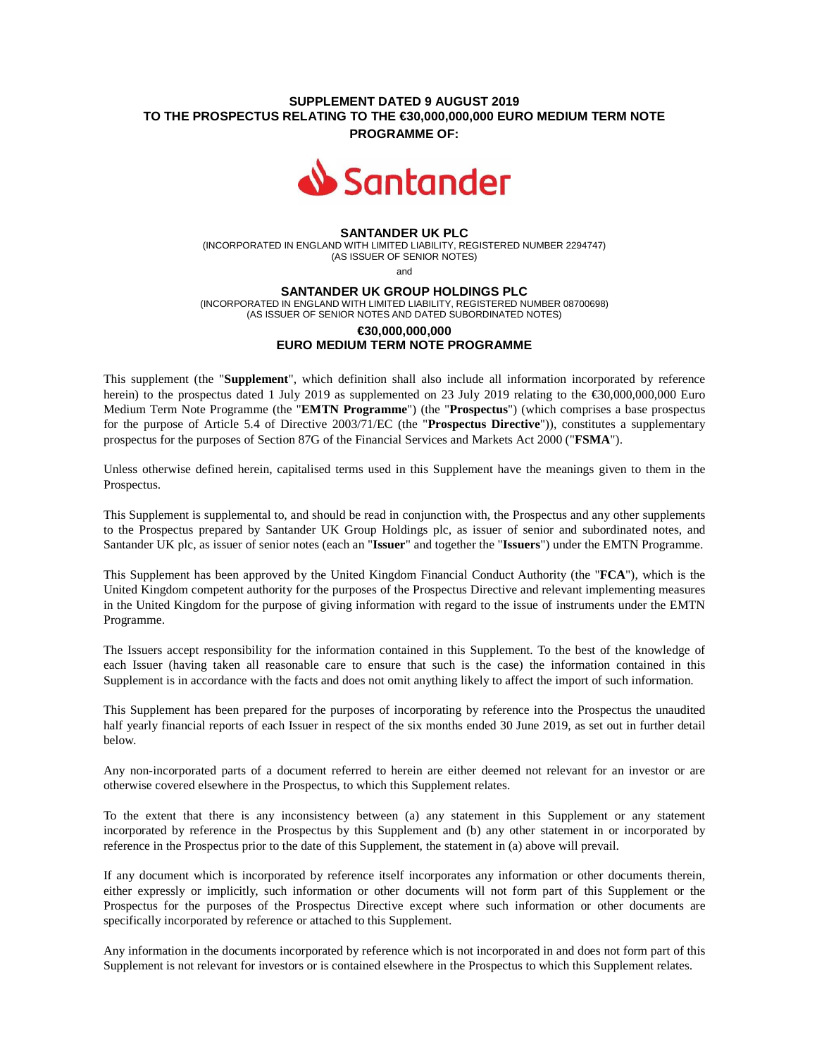# **SUPPLEMENT DATED 9 AUGUST 2019 TO THE PROSPECTUS RELATING TO THE €30,000,000,000 EURO MEDIUM TERM NOTE**

**PROGRAMME OF:**



### **SANTANDER UK PLC**

(INCORPORATED IN ENGLAND WITH LIMITED LIABILITY, REGISTERED NUMBER 2294747) (AS ISSUER OF SENIOR NOTES)

and

#### **SANTANDER UK GROUP HOLDINGS PLC**

(INCORPORATED IN ENGLAND WITH LIMITED LIABILITY, REGISTERED NUMBER 08700698) (AS ISSUER OF SENIOR NOTES AND DATED SUBORDINATED NOTES)

# **€30,000,000,000 EURO MEDIUM TERM NOTE PROGRAMME**

This supplement (the "**Supplement**", which definition shall also include all information incorporated by reference herein) to the prospectus dated 1 July 2019 as supplemented on 23 July 2019 relating to the €30,000,000,000 Euro Medium Term Note Programme (the "**EMTN Programme**") (the "**Prospectus**") (which comprises a base prospectus for the purpose of Article 5.4 of Directive 2003/71/EC (the "**Prospectus Directive**")), constitutes a supplementary prospectus for the purposes of Section 87G of the Financial Services and Markets Act 2000 ("**FSMA**").

Unless otherwise defined herein, capitalised terms used in this Supplement have the meanings given to them in the Prospectus.

This Supplement is supplemental to, and should be read in conjunction with, the Prospectus and any other supplements to the Prospectus prepared by Santander UK Group Holdings plc, as issuer of senior and subordinated notes, and Santander UK plc, as issuer of senior notes (each an "**Issuer**" and together the "**Issuers**") under the EMTN Programme.

This Supplement has been approved by the United Kingdom Financial Conduct Authority (the "**FCA**"), which is the United Kingdom competent authority for the purposes of the Prospectus Directive and relevant implementing measures in the United Kingdom for the purpose of giving information with regard to the issue of instruments under the EMTN Programme.

The Issuers accept responsibility for the information contained in this Supplement. To the best of the knowledge of each Issuer (having taken all reasonable care to ensure that such is the case) the information contained in this Supplement is in accordance with the facts and does not omit anything likely to affect the import of such information.

This Supplement has been prepared for the purposes of incorporating by reference into the Prospectus the unaudited half yearly financial reports of each Issuer in respect of the six months ended 30 June 2019, as set out in further detail below.

Any non-incorporated parts of a document referred to herein are either deemed not relevant for an investor or are otherwise covered elsewhere in the Prospectus, to which this Supplement relates.

To the extent that there is any inconsistency between (a) any statement in this Supplement or any statement incorporated by reference in the Prospectus by this Supplement and (b) any other statement in or incorporated by reference in the Prospectus prior to the date of this Supplement, the statement in (a) above will prevail.

If any document which is incorporated by reference itself incorporates any information or other documents therein, either expressly or implicitly, such information or other documents will not form part of this Supplement or the Prospectus for the purposes of the Prospectus Directive except where such information or other documents are specifically incorporated by reference or attached to this Supplement.

Any information in the documents incorporated by reference which is not incorporated in and does not form part of this Supplement is not relevant for investors or is contained elsewhere in the Prospectus to which this Supplement relates.